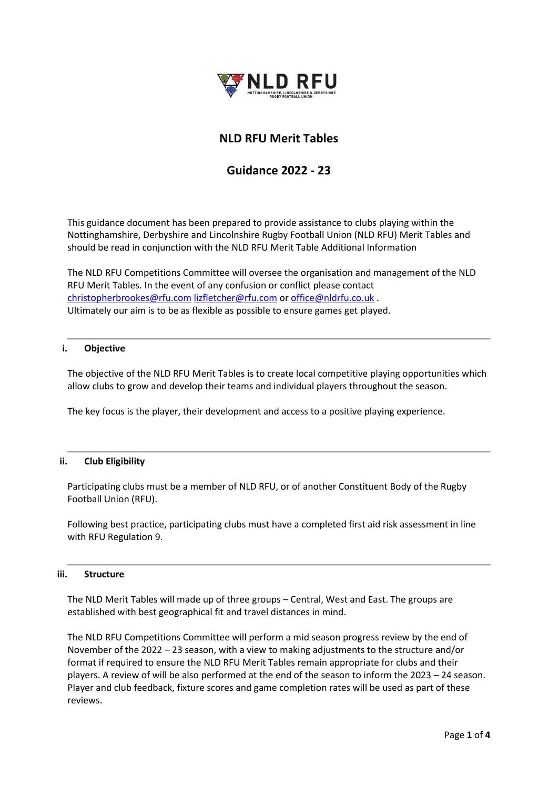

## **NLD RFU Merit Tables**

# **Guidance 2022 - 23**

This guidance document has been prepared to provide assistance to clubs playing within the Nottinghamshire, Derbyshire and Lincolnshire Rugby Football Union (NLD RFU) Merit Tables and should be read in conjunction with the NLD RFU Merit Table Additional Information

The NLD RFU Competitions Committee will oversee the organisation and management of the NLD RFU Merit Tables. In the event of any confusion or conflict please contact [christopherbrookes@rfu.com](mailto:christopherbrookes@rfu.com) [lizfletcher@rfu.com](mailto:lizfletcher@rfu.com) o[r office@nldrfu.co.uk](mailto:office@nldrfu.co.uk) . Ultimately our aim is to be as flexible as possible to ensure games get played.

#### **i. Objective**

The objective of the NLD RFU Merit Tables is to create local competitive playing opportunities which allow clubs to grow and develop their teams and individual players throughout the season.

The key focus is the player, their development and access to a positive playing experience.

### **ii. Club Eligibility**

Participating clubs must be a member of NLD RFU, or of another Constituent Body of the Rugby Football Union (RFU).

Following best practice, participating clubs must have a completed first aid risk assessment in line with RFU Regulation 9.

#### **iii. Structure**

The NLD Merit Tables will made up of three groups – Central, West and East. The groups are established with best geographical fit and travel distances in mind.

The NLD RFU Competitions Committee will perform a mid season progress review by the end of November of the 2022 – 23 season, with a view to making adjustments to the structure and/or format if required to ensure the NLD RFU Merit Tables remain appropriate for clubs and their players. A review of will be also performed at the end of the season to inform the 2023 – 24 season. Player and club feedback, fixture scores and game completion rates will be used as part of these reviews.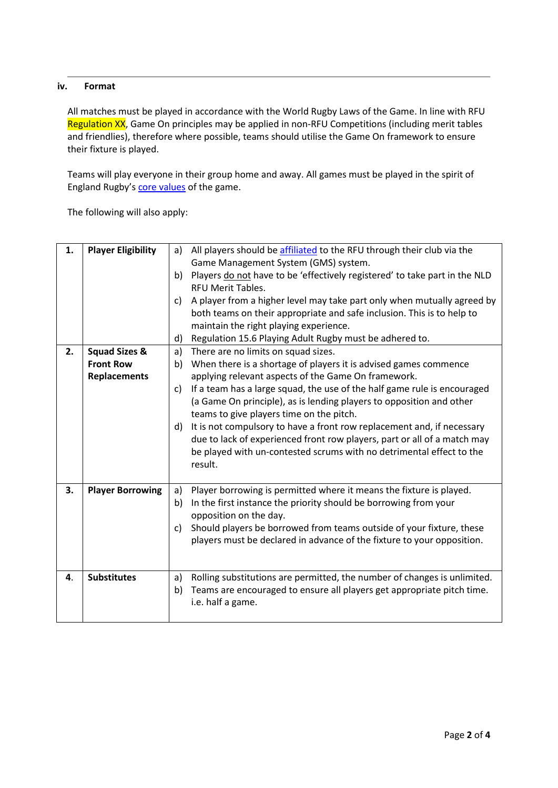### **iv. Format**

All matches must be played in accordance with the World Rugby Laws of the Game. In line with RFU Regulation XX, Game On principles may be applied in non-RFU Competitions (including merit tables and friendlies), therefore where possible, teams should utilise the Game On framework to ensure their fixture is played.

Teams will play everyone in their group home and away. All games must be played in the spirit of England Rugby's [core values](https://www.englandrugby.com/b60e6e31-e1cd-4d88-a268-4b6e76fb6593/about-rfu/core-values) of the game.

The following will also apply:

| 1.<br>2. | <b>Player Eligibility</b><br><b>Squad Sizes &amp;</b><br><b>Front Row</b> | a)<br>c)<br>d)<br>a)<br>b) | All players should be affiliated to the RFU through their club via the<br>Game Management System (GMS) system.<br>b) Players do not have to be 'effectively registered' to take part in the NLD<br><b>RFU Merit Tables.</b><br>A player from a higher level may take part only when mutually agreed by<br>both teams on their appropriate and safe inclusion. This is to help to<br>maintain the right playing experience.<br>Regulation 15.6 Playing Adult Rugby must be adhered to.<br>There are no limits on squad sizes.<br>When there is a shortage of players it is advised games commence |
|----------|---------------------------------------------------------------------------|----------------------------|--------------------------------------------------------------------------------------------------------------------------------------------------------------------------------------------------------------------------------------------------------------------------------------------------------------------------------------------------------------------------------------------------------------------------------------------------------------------------------------------------------------------------------------------------------------------------------------------------|
|          |                                                                           |                            |                                                                                                                                                                                                                                                                                                                                                                                                                                                                                                                                                                                                  |
|          | <b>Replacements</b>                                                       |                            | applying relevant aspects of the Game On framework.                                                                                                                                                                                                                                                                                                                                                                                                                                                                                                                                              |
|          |                                                                           | c)                         | If a team has a large squad, the use of the half game rule is encouraged<br>(a Game On principle), as is lending players to opposition and other<br>teams to give players time on the pitch.                                                                                                                                                                                                                                                                                                                                                                                                     |
|          |                                                                           | d)                         | It is not compulsory to have a front row replacement and, if necessary<br>due to lack of experienced front row players, part or all of a match may<br>be played with un-contested scrums with no detrimental effect to the<br>result.                                                                                                                                                                                                                                                                                                                                                            |
| 3.       | <b>Player Borrowing</b>                                                   | a)                         | Player borrowing is permitted where it means the fixture is played.                                                                                                                                                                                                                                                                                                                                                                                                                                                                                                                              |
|          |                                                                           | b)                         | In the first instance the priority should be borrowing from your<br>opposition on the day.                                                                                                                                                                                                                                                                                                                                                                                                                                                                                                       |
|          |                                                                           | c)                         | Should players be borrowed from teams outside of your fixture, these<br>players must be declared in advance of the fixture to your opposition.                                                                                                                                                                                                                                                                                                                                                                                                                                                   |
| 4.       | <b>Substitutes</b>                                                        | a)                         | Rolling substitutions are permitted, the number of changes is unlimited.                                                                                                                                                                                                                                                                                                                                                                                                                                                                                                                         |
|          |                                                                           | b)                         | Teams are encouraged to ensure all players get appropriate pitch time.<br>i.e. half a game.                                                                                                                                                                                                                                                                                                                                                                                                                                                                                                      |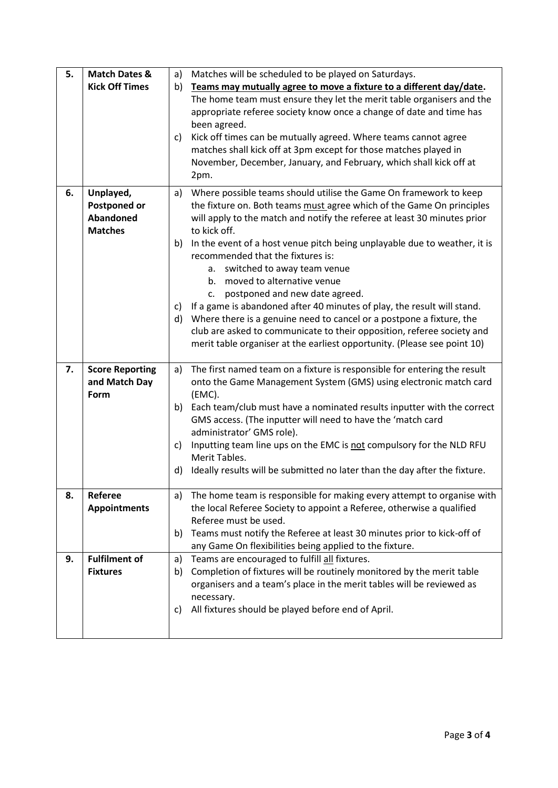| 5. | <b>Match Dates &amp;</b> | a)       | Matches will be scheduled to be played on Saturdays.                                                     |
|----|--------------------------|----------|----------------------------------------------------------------------------------------------------------|
|    | <b>Kick Off Times</b>    | b)       | Teams may mutually agree to move a fixture to a different day/date.                                      |
|    |                          |          | The home team must ensure they let the merit table organisers and the                                    |
|    |                          |          | appropriate referee society know once a change of date and time has                                      |
|    |                          |          | been agreed.                                                                                             |
|    |                          | c)       | Kick off times can be mutually agreed. Where teams cannot agree                                          |
|    |                          |          | matches shall kick off at 3pm except for those matches played in                                         |
|    |                          |          | November, December, January, and February, which shall kick off at                                       |
|    |                          |          | 2pm.                                                                                                     |
| 6. | Unplayed,                | a)       | Where possible teams should utilise the Game On framework to keep                                        |
|    | <b>Postponed or</b>      |          | the fixture on. Both teams must agree which of the Game On principles                                    |
|    | Abandoned                |          | will apply to the match and notify the referee at least 30 minutes prior                                 |
|    | <b>Matches</b>           |          | to kick off.                                                                                             |
|    |                          | b)       | In the event of a host venue pitch being unplayable due to weather, it is                                |
|    |                          |          | recommended that the fixtures is:                                                                        |
|    |                          |          | a. switched to away team venue                                                                           |
|    |                          |          | moved to alternative venue<br>b.                                                                         |
|    |                          |          | postponed and new date agreed.<br>c.                                                                     |
|    |                          | C)       | If a game is abandoned after 40 minutes of play, the result will stand.                                  |
|    |                          | d)       | Where there is a genuine need to cancel or a postpone a fixture, the                                     |
|    |                          |          | club are asked to communicate to their opposition, referee society and                                   |
|    |                          |          | merit table organiser at the earliest opportunity. (Please see point 10)                                 |
|    |                          |          |                                                                                                          |
| 7. | <b>Score Reporting</b>   | a)       | The first named team on a fixture is responsible for entering the result                                 |
|    | and Match Day            |          | onto the Game Management System (GMS) using electronic match card                                        |
|    | Form                     |          | (EMC).                                                                                                   |
|    |                          | b)       | Each team/club must have a nominated results inputter with the correct                                   |
|    |                          |          | GMS access. (The inputter will need to have the 'match card                                              |
|    |                          |          | administrator' GMS role).                                                                                |
|    |                          | c)       | Inputting team line ups on the EMC is not compulsory for the NLD RFU                                     |
|    |                          |          | Merit Tables.                                                                                            |
|    |                          | d)       | Ideally results will be submitted no later than the day after the fixture.                               |
|    |                          |          |                                                                                                          |
| 8. | Referee                  | a)       | The home team is responsible for making every attempt to organise with                                   |
|    | <b>Appointments</b>      |          | the local Referee Society to appoint a Referee, otherwise a qualified                                    |
|    |                          |          | Referee must be used.                                                                                    |
|    |                          | b)       | Teams must notify the Referee at least 30 minutes prior to kick-off of                                   |
| 9. | <b>Fulfilment of</b>     |          | any Game On flexibilities being applied to the fixture.<br>Teams are encouraged to fulfill all fixtures. |
|    | <b>Fixtures</b>          | a)<br>b) | Completion of fixtures will be routinely monitored by the merit table                                    |
|    |                          |          | organisers and a team's place in the merit tables will be reviewed as                                    |
|    |                          |          | necessary.                                                                                               |
|    |                          | C)       | All fixtures should be played before end of April.                                                       |
|    |                          |          |                                                                                                          |
|    |                          |          |                                                                                                          |